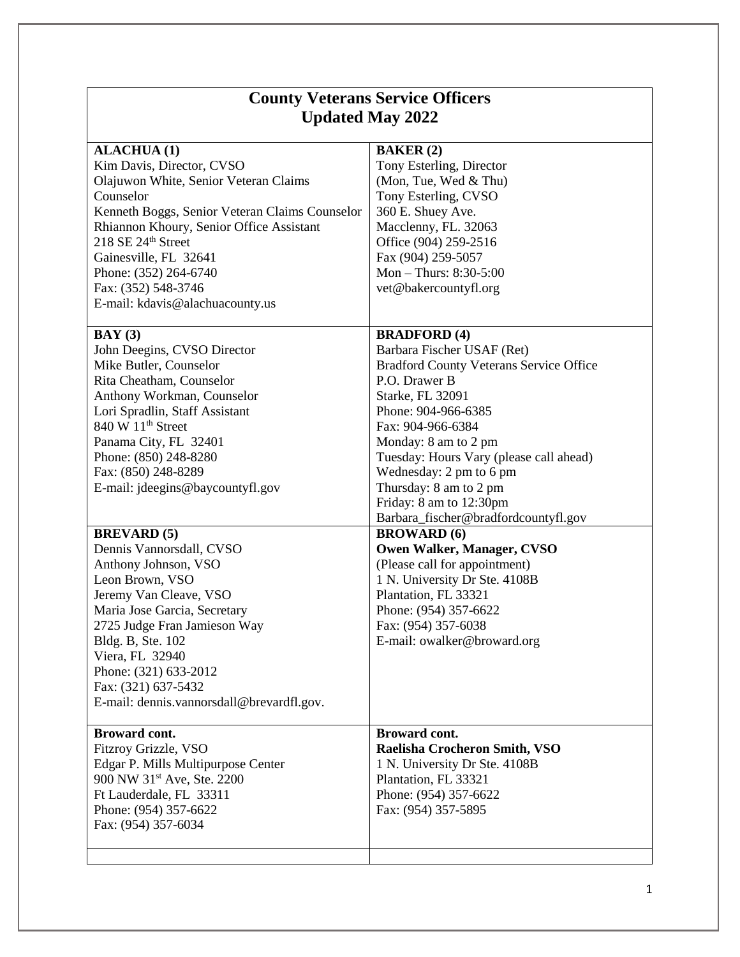| <b>County Veterans Service Officers</b><br><b>Updated May 2022</b>                                                                                                                                                                                                                                                                      |  |
|-----------------------------------------------------------------------------------------------------------------------------------------------------------------------------------------------------------------------------------------------------------------------------------------------------------------------------------------|--|
| <b>BAKER</b> (2)<br>Tony Esterling, Director<br>(Mon, Tue, Wed & Thu)<br>Tony Esterling, CVSO<br>360 E. Shuey Ave.<br>Macclenny, FL. 32063<br>Office (904) 259-2516<br>Fax (904) 259-5057<br>Mon $-$ Thurs: 8:30-5:00<br>vet@bakercountyfl.org                                                                                          |  |
| <b>BRADFORD</b> (4)<br>Barbara Fischer USAF (Ret)<br><b>Bradford County Veterans Service Office</b><br>P.O. Drawer B<br>Starke, FL 32091<br>Phone: 904-966-6385<br>Fax: 904-966-6384<br>Monday: 8 am to 2 pm<br>Tuesday: Hours Vary (please call ahead)<br>Wednesday: 2 pm to 6 pm<br>Thursday: 8 am to 2 pm<br>Friday: 8 am to 12:30pm |  |
| Barbara_fischer@bradfordcountyfl.gov<br><b>BROWARD</b> (6)<br>Owen Walker, Manager, CVSO<br>(Please call for appointment)<br>1 N. University Dr Ste. 4108B<br>Plantation, FL 33321<br>Phone: (954) 357-6622<br>Fax: (954) 357-6038<br>E-mail: owalker@broward.org                                                                       |  |
| <b>Broward cont.</b><br>Raelisha Crocheron Smith, VSO<br>1 N. University Dr Ste. 4108B<br>Plantation, FL 33321<br>Phone: (954) 357-6622<br>Fax: (954) 357-5895                                                                                                                                                                          |  |
|                                                                                                                                                                                                                                                                                                                                         |  |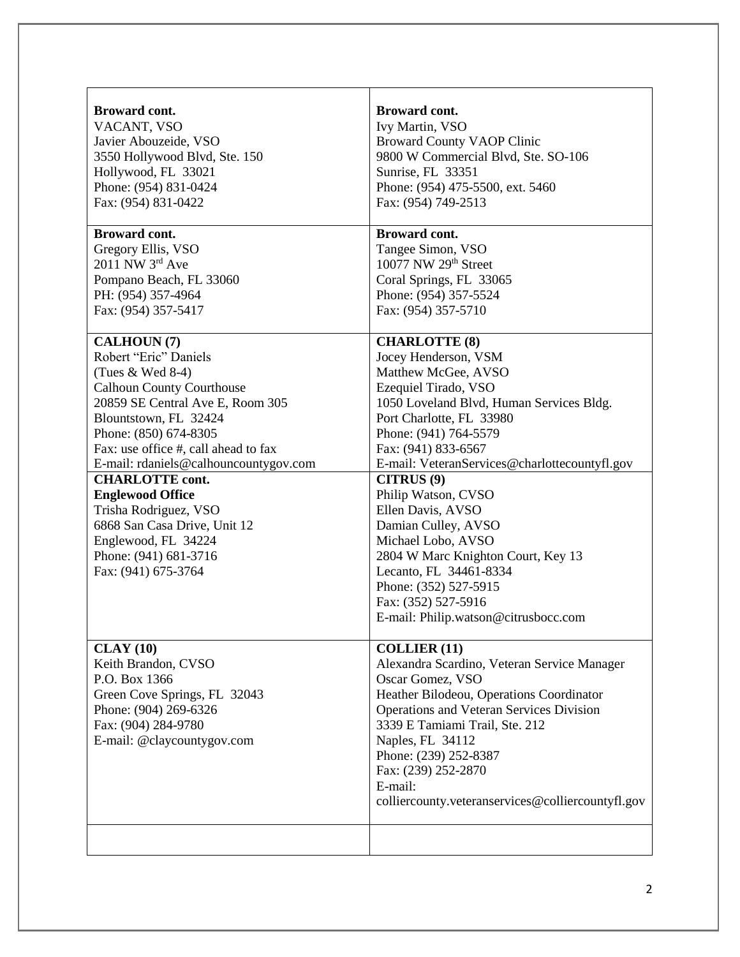| Broward cont.<br>VACANT, VSO<br>Javier Abouzeide, VSO<br>3550 Hollywood Blvd, Ste. 150<br>Hollywood, FL 33021<br>Phone: (954) 831-0424<br>Fax: (954) 831-0422                                                                                                                                                                                                                                                                                                     | <b>Broward cont.</b><br>Ivy Martin, VSO<br><b>Broward County VAOP Clinic</b><br>9800 W Commercial Blvd, Ste. SO-106<br>Sunrise, FL 33351<br>Phone: (954) 475-5500, ext. 5460<br>Fax: (954) 749-2513                                                                                                                                                                                                                                                                                                                                            |
|-------------------------------------------------------------------------------------------------------------------------------------------------------------------------------------------------------------------------------------------------------------------------------------------------------------------------------------------------------------------------------------------------------------------------------------------------------------------|------------------------------------------------------------------------------------------------------------------------------------------------------------------------------------------------------------------------------------------------------------------------------------------------------------------------------------------------------------------------------------------------------------------------------------------------------------------------------------------------------------------------------------------------|
|                                                                                                                                                                                                                                                                                                                                                                                                                                                                   |                                                                                                                                                                                                                                                                                                                                                                                                                                                                                                                                                |
| <b>Broward cont.</b><br>Gregory Ellis, VSO<br>2011 NW 3rd Ave<br>Pompano Beach, FL 33060<br>PH: (954) 357-4964<br>Fax: (954) 357-5417                                                                                                                                                                                                                                                                                                                             | <b>Broward cont.</b><br>Tangee Simon, VSO<br>10077 NW 29th Street<br>Coral Springs, FL 33065<br>Phone: (954) 357-5524<br>Fax: (954) 357-5710                                                                                                                                                                                                                                                                                                                                                                                                   |
| <b>CALHOUN (7)</b><br>Robert "Eric" Daniels<br>(Tues $&$ Wed 8-4)<br><b>Calhoun County Courthouse</b><br>20859 SE Central Ave E, Room 305<br>Blountstown, FL 32424<br>Phone: (850) 674-8305<br>Fax: use office #, call ahead to fax<br>E-mail: rdaniels@calhouncountygov.com<br><b>CHARLOTTE cont.</b><br><b>Englewood Office</b><br>Trisha Rodriguez, VSO<br>6868 San Casa Drive, Unit 12<br>Englewood, FL 34224<br>Phone: (941) 681-3716<br>Fax: (941) 675-3764 | <b>CHARLOTTE (8)</b><br>Jocey Henderson, VSM<br>Matthew McGee, AVSO<br>Ezequiel Tirado, VSO<br>1050 Loveland Blvd, Human Services Bldg.<br>Port Charlotte, FL 33980<br>Phone: (941) 764-5579<br>Fax: (941) 833-6567<br>E-mail: VeteranServices@charlottecountyfl.gov<br>CITRUS <sup>(9)</sup><br>Philip Watson, CVSO<br>Ellen Davis, AVSO<br>Damian Culley, AVSO<br>Michael Lobo, AVSO<br>2804 W Marc Knighton Court, Key 13<br>Lecanto, FL 34461-8334<br>Phone: (352) 527-5915<br>Fax: (352) 527-5916<br>E-mail: Philip.watson@citrusbocc.com |
| CLAY(10)<br>Keith Brandon, CVSO<br>P.O. Box 1366<br>Green Cove Springs, FL 32043<br>Phone: (904) 269-6326<br>Fax: (904) 284-9780<br>E-mail: @claycountygov.com                                                                                                                                                                                                                                                                                                    | <b>COLLIER (11)</b><br>Alexandra Scardino, Veteran Service Manager<br>Oscar Gomez, VSO<br>Heather Bilodeou, Operations Coordinator<br>Operations and Veteran Services Division<br>3339 E Tamiami Trail, Ste. 212<br>Naples, FL 34112<br>Phone: (239) 252-8387<br>Fax: (239) 252-2870<br>E-mail:<br>colliercounty.veteranservices@colliercountyfl.gov                                                                                                                                                                                           |
|                                                                                                                                                                                                                                                                                                                                                                                                                                                                   |                                                                                                                                                                                                                                                                                                                                                                                                                                                                                                                                                |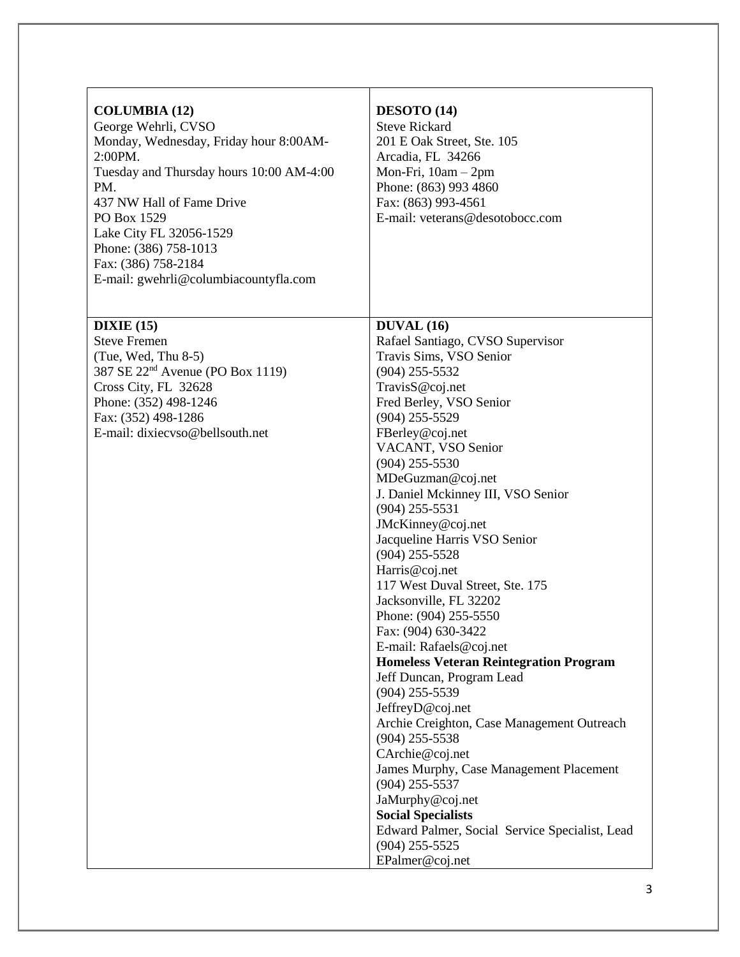| <b>COLUMBIA (12)</b><br>George Wehrli, CVSO<br>Monday, Wednesday, Friday hour 8:00AM-<br>2:00PM.<br>Tuesday and Thursday hours 10:00 AM-4:00<br>PM.<br>437 NW Hall of Fame Drive<br>PO Box 1529<br>Lake City FL 32056-1529<br>Phone: (386) 758-1013<br>Fax: (386) 758-2184<br>E-mail: gwehrli@columbiacountyfla.com | DESOTO (14)<br><b>Steve Rickard</b><br>201 E Oak Street, Ste. 105<br>Arcadia, FL 34266<br>Mon-Fri, $10am - 2pm$<br>Phone: (863) 993 4860<br>Fax: (863) 993-4561<br>E-mail: veterans@desotobocc.com                                                                                                                                                                                                                                                                                                                                                                                                                                                                                                                                                                                                                                                                                                                                                                        |
|---------------------------------------------------------------------------------------------------------------------------------------------------------------------------------------------------------------------------------------------------------------------------------------------------------------------|---------------------------------------------------------------------------------------------------------------------------------------------------------------------------------------------------------------------------------------------------------------------------------------------------------------------------------------------------------------------------------------------------------------------------------------------------------------------------------------------------------------------------------------------------------------------------------------------------------------------------------------------------------------------------------------------------------------------------------------------------------------------------------------------------------------------------------------------------------------------------------------------------------------------------------------------------------------------------|
| DIXIE(15)<br><b>Steve Fremen</b><br>$(Tue, Wed, Thu 8-5)$<br>387 SE 22 <sup>nd</sup> Avenue (PO Box 1119)<br>Cross City, FL 32628<br>Phone: (352) 498-1246<br>Fax: (352) 498-1286<br>E-mail: dixiecyso@bellsouth.net                                                                                                | <b>DUVAL</b> (16)<br>Rafael Santiago, CVSO Supervisor<br>Travis Sims, VSO Senior<br>$(904)$ 255-5532<br>TravisS@coj.net<br>Fred Berley, VSO Senior<br>$(904)$ 255-5529<br>FBerley@coj.net<br>VACANT, VSO Senior<br>$(904)$ 255-5530<br>MDeGuzman@coj.net<br>J. Daniel Mckinney III, VSO Senior<br>$(904)$ 255-5531<br>JMcKinney@coj.net<br>Jacqueline Harris VSO Senior<br>$(904)$ 255-5528<br>Harris@coj.net<br>117 West Duval Street, Ste. 175<br>Jacksonville, FL 32202<br>Phone: (904) 255-5550<br>Fax: (904) 630-3422<br>E-mail: Rafaels@coj.net<br><b>Homeless Veteran Reintegration Program</b><br>Jeff Duncan, Program Lead<br>$(904)$ 255-5539<br>JeffreyD@coj.net<br>Archie Creighton, Case Management Outreach<br>$(904)$ 255-5538<br>CArchie@coj.net<br>James Murphy, Case Management Placement<br>$(904)$ 255-5537<br>JaMurphy@coj.net<br><b>Social Specialists</b><br>Edward Palmer, Social Service Specialist, Lead<br>$(904)$ 255-5525<br>EPalmer@coj.net |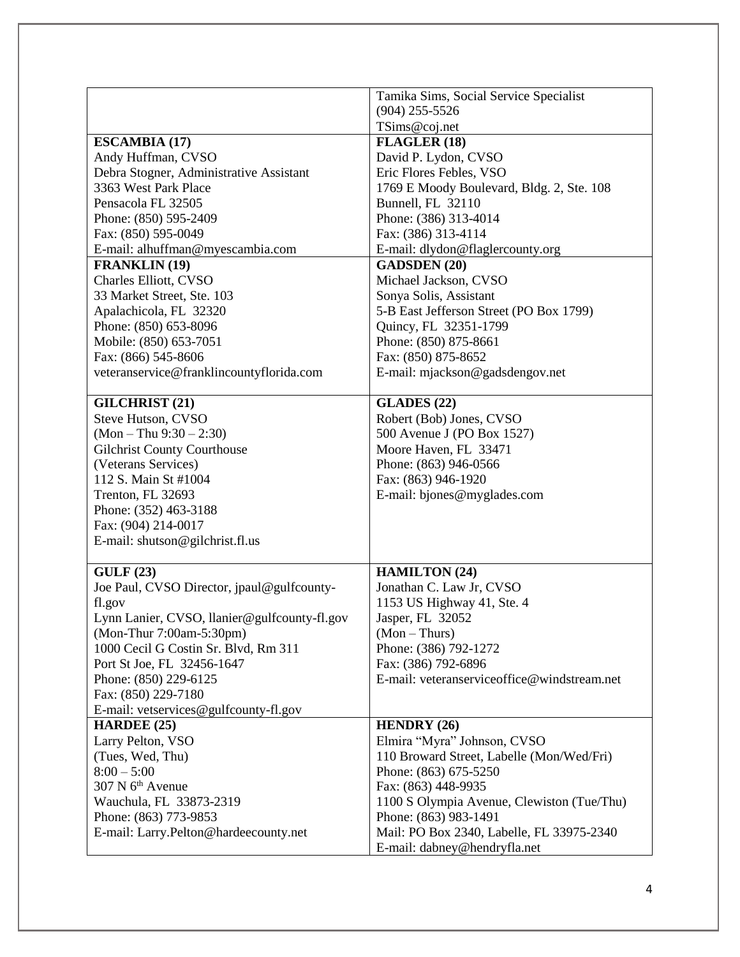|                                               | Tamika Sims, Social Service Specialist       |
|-----------------------------------------------|----------------------------------------------|
|                                               | $(904)$ 255-5526                             |
|                                               | TSims@coj.net                                |
| <b>ESCAMBIA (17)</b>                          | FLAGLER (18)                                 |
| Andy Huffman, CVSO                            | David P. Lydon, CVSO                         |
| Debra Stogner, Administrative Assistant       | Eric Flores Febles, VSO                      |
| 3363 West Park Place                          | 1769 E Moody Boulevard, Bldg. 2, Ste. 108    |
| Pensacola FL 32505                            | Bunnell, FL 32110                            |
| Phone: (850) 595-2409                         | Phone: (386) 313-4014                        |
| Fax: (850) 595-0049                           | Fax: (386) 313-4114                          |
| E-mail: alhuffman@myescambia.com              | E-mail: dlydon@flaglercounty.org             |
| <b>FRANKLIN</b> (19)                          | <b>GADSDEN (20)</b>                          |
| Charles Elliott, CVSO                         | Michael Jackson, CVSO                        |
| 33 Market Street, Ste. 103                    | Sonya Solis, Assistant                       |
| Apalachicola, FL 32320                        | 5-B East Jefferson Street (PO Box 1799)      |
| Phone: (850) 653-8096                         | Quincy, FL 32351-1799                        |
|                                               |                                              |
| Mobile: (850) 653-7051<br>Fax: (866) 545-8606 | Phone: (850) 875-8661<br>Fax: (850) 875-8652 |
| veteranservice@franklincountyflorida.com      | E-mail: mjackson@gadsdengov.net              |
|                                               |                                              |
| <b>GILCHRIST</b> (21)                         | <b>GLADES</b> (22)                           |
| Steve Hutson, CVSO                            | Robert (Bob) Jones, CVSO                     |
| $(Mon - Thu 9:30 - 2:30)$                     | 500 Avenue J (PO Box 1527)                   |
| <b>Gilchrist County Courthouse</b>            | Moore Haven, FL 33471                        |
| (Veterans Services)                           | Phone: (863) 946-0566                        |
| 112 S. Main St #1004                          | Fax: (863) 946-1920                          |
| Trenton, FL 32693                             | E-mail: bjones@myglades.com                  |
| Phone: (352) 463-3188                         |                                              |
| Fax: (904) 214-0017                           |                                              |
| E-mail: shutson@gilchrist.fl.us               |                                              |
|                                               |                                              |
| GULF(23)                                      | <b>HAMILTON (24)</b>                         |
| Joe Paul, CVSO Director, jpaul@gulfcounty-    | Jonathan C. Law Jr, CVSO                     |
| fl.gov                                        | 1153 US Highway 41, Ste. 4                   |
| Lynn Lanier, CVSO, llanier@gulfcounty-fl.gov  | Jasper, FL 32052                             |
| (Mon-Thur 7:00am-5:30pm)                      | $(Mon-Thus)$                                 |
| 1000 Cecil G Costin Sr. Blvd, Rm 311          | Phone: (386) 792-1272                        |
| Port St Joe, FL 32456-1647                    | Fax: (386) 792-6896                          |
| Phone: (850) 229-6125                         | E-mail: veteranserviceoffice@windstream.net  |
| Fax: (850) 229-7180                           |                                              |
| E-mail: vetservices@gulfcounty-fl.gov         |                                              |
| <b>HARDEE</b> (25)                            | <b>HENDRY</b> (26)                           |
| Larry Pelton, VSO                             | Elmira "Myra" Johnson, CVSO                  |
| (Tues, Wed, Thu)                              | 110 Broward Street, Labelle (Mon/Wed/Fri)    |
| $8:00 - 5:00$                                 | Phone: (863) 675-5250                        |
| 307 N 6 <sup>th</sup> Avenue                  | Fax: (863) 448-9935                          |
| Wauchula, FL 33873-2319                       | 1100 S Olympia Avenue, Clewiston (Tue/Thu)   |
| Phone: (863) 773-9853                         | Phone: (863) 983-1491                        |
| E-mail: Larry.Pelton@hardeecounty.net         | Mail: PO Box 2340, Labelle, FL 33975-2340    |
|                                               | E-mail: dabney@hendryfla.net                 |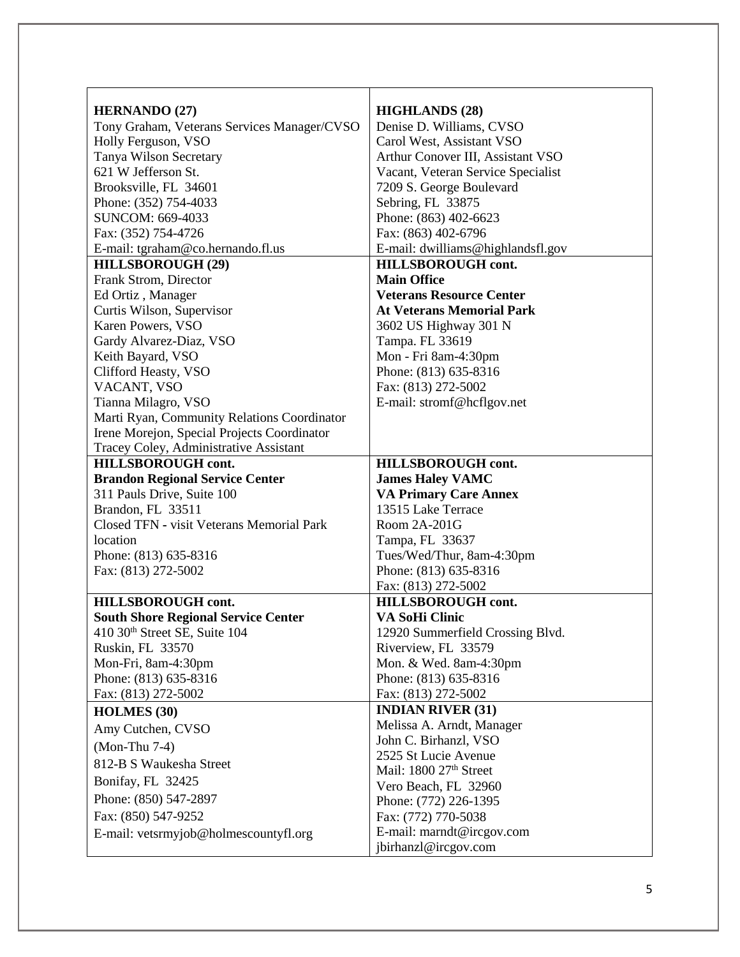| <b>HERNANDO (27)</b>                                         | <b>HIGHLANDS (28)</b>                            |
|--------------------------------------------------------------|--------------------------------------------------|
| Tony Graham, Veterans Services Manager/CVSO                  | Denise D. Williams, CVSO                         |
| Holly Ferguson, VSO                                          | Carol West, Assistant VSO                        |
| Tanya Wilson Secretary                                       | Arthur Conover III, Assistant VSO                |
| 621 W Jefferson St.                                          | Vacant, Veteran Service Specialist               |
| Brooksville, FL 34601                                        | 7209 S. George Boulevard                         |
| Phone: (352) 754-4033                                        | Sebring, FL 33875                                |
| SUNCOM: 669-4033                                             | Phone: (863) 402-6623                            |
| Fax: (352) 754-4726                                          | Fax: (863) 402-6796                              |
| E-mail: tgraham@co.hernando.fl.us                            | E-mail: dwilliams@highlandsfl.gov                |
| <b>HILLSBOROUGH (29)</b>                                     | <b>HILLSBOROUGH</b> cont.                        |
| Frank Strom, Director                                        | <b>Main Office</b>                               |
| Ed Ortiz, Manager                                            | <b>Veterans Resource Center</b>                  |
| Curtis Wilson, Supervisor                                    | <b>At Veterans Memorial Park</b>                 |
| Karen Powers, VSO                                            | 3602 US Highway 301 N                            |
| Gardy Alvarez-Diaz, VSO                                      | Tampa. FL 33619                                  |
| Keith Bayard, VSO                                            | Mon - Fri 8am-4:30pm                             |
| Clifford Heasty, VSO                                         | Phone: (813) 635-8316                            |
| VACANT, VSO                                                  | Fax: (813) 272-5002                              |
| Tianna Milagro, VSO                                          | E-mail: stromf@hcflgov.net                       |
| Marti Ryan, Community Relations Coordinator                  |                                                  |
| Irene Morejon, Special Projects Coordinator                  |                                                  |
| Tracey Coley, Administrative Assistant                       |                                                  |
| <b>HILLSBOROUGH cont.</b>                                    | HILLSBOROUGH cont.                               |
|                                                              |                                                  |
| <b>Brandon Regional Service Center</b>                       | <b>James Haley VAMC</b>                          |
| 311 Pauls Drive, Suite 100                                   | <b>VA Primary Care Annex</b>                     |
| Brandon, FL 33511                                            | 13515 Lake Terrace                               |
| Closed TFN - visit Veterans Memorial Park                    | Room 2A-201G                                     |
| location                                                     | Tampa, FL 33637                                  |
| Phone: (813) 635-8316                                        | Tues/Wed/Thur, 8am-4:30pm                        |
| Fax: (813) 272-5002                                          | Phone: (813) 635-8316                            |
|                                                              | Fax: (813) 272-5002                              |
| HILLSBOROUGH cont.                                           | HILLSBOROUGH cont.                               |
| <b>South Shore Regional Service Center</b>                   | VA SoHi Clinic                                   |
| 410 30 <sup>th</sup> Street SE, Suite 104                    | 12920 Summerfield Crossing Blvd.                 |
| Ruskin, FL 33570                                             | Riverview, FL 33579                              |
| Mon-Fri, 8am-4:30pm                                          | Mon. & Wed. 8am-4:30pm                           |
| Phone: (813) 635-8316                                        | Phone: (813) 635-8316                            |
| Fax: (813) 272-5002                                          | Fax: (813) 272-5002                              |
| <b>HOLMES</b> (30)                                           | <b>INDIAN RIVER (31)</b>                         |
| Amy Cutchen, CVSO                                            | Melissa A. Arndt, Manager                        |
| (Mon-Thu 7-4)                                                | John C. Birhanzl, VSO                            |
| 812-B S Waukesha Street                                      | 2525 St Lucie Avenue                             |
| Bonifay, FL 32425                                            | Mail: 1800 27 <sup>th</sup> Street               |
|                                                              | Vero Beach, FL 32960                             |
| Phone: (850) 547-2897                                        | Phone: (772) 226-1395                            |
| Fax: (850) 547-9252<br>E-mail: vetsrmyjob@holmescountyfl.org | Fax: (772) 770-5038<br>E-mail: marndt@ircgov.com |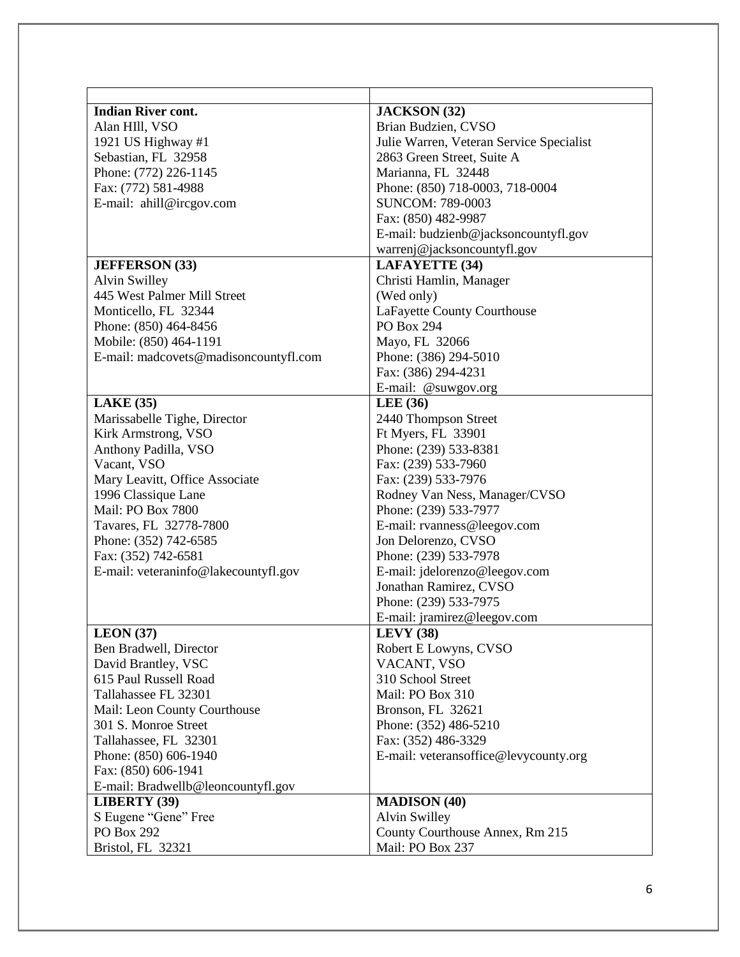| <b>Indian River cont.</b>             | <b>JACKSON</b> (32)                      |
|---------------------------------------|------------------------------------------|
| Alan HIII, VSO                        | Brian Budzien, CVSO                      |
| 1921 US Highway #1                    | Julie Warren, Veteran Service Specialist |
| Sebastian, FL 32958                   | 2863 Green Street, Suite A               |
| Phone: (772) 226-1145                 | Marianna, FL 32448                       |
| Fax: (772) 581-4988                   | Phone: (850) 718-0003, 718-0004          |
| E-mail: ahill@ircgov.com              | <b>SUNCOM: 789-0003</b>                  |
|                                       | Fax: (850) 482-9987                      |
|                                       | E-mail: budzienb@jacksoncountyfl.gov     |
|                                       | warrenj@jacksoncountyfl.gov              |
| <b>JEFFERSON</b> (33)                 | <b>LAFAYETTE (34)</b>                    |
| Alvin Swilley                         | Christi Hamlin, Manager                  |
| 445 West Palmer Mill Street           | (Wed only)                               |
| Monticello, FL 32344                  | LaFayette County Courthouse              |
| Phone: (850) 464-8456                 | <b>PO Box 294</b>                        |
| Mobile: (850) 464-1191                | Mayo, FL 32066                           |
| E-mail: madcovets@madisoncountyfl.com | Phone: (386) 294-5010                    |
|                                       | Fax: (386) 294-4231                      |
|                                       | E-mail: @suwgov.org                      |
| <b>LAKE</b> (35)                      | <b>LEE</b> (36)                          |
| Marissabelle Tighe, Director          | 2440 Thompson Street                     |
| Kirk Armstrong, VSO                   | Ft Myers, FL 33901                       |
| Anthony Padilla, VSO                  | Phone: (239) 533-8381                    |
| Vacant, VSO                           | Fax: (239) 533-7960                      |
| Mary Leavitt, Office Associate        | Fax: (239) 533-7976                      |
| 1996 Classique Lane                   | Rodney Van Ness, Manager/CVSO            |
| <b>Mail: PO Box 7800</b>              | Phone: (239) 533-7977                    |
| Tavares, FL 32778-7800                | E-mail: rvanness@leegov.com              |
| Phone: (352) 742-6585                 | Jon Delorenzo, CVSO                      |
| Fax: (352) 742-6581                   | Phone: (239) 533-7978                    |
| E-mail: veteraninfo@lakecountyfl.gov  | E-mail: jdelorenzo@leegov.com            |
|                                       | Jonathan Ramirez, CVSO                   |
|                                       | Phone: (239) 533-7975                    |
|                                       | E-mail: jramirez@leegov.com              |
| LEON(37)                              | <b>LEVY</b> (38)                         |
| Ben Bradwell, Director                | Robert E Lowyns, CVSO                    |
| David Brantley, VSC                   | VACANT, VSO                              |
| 615 Paul Russell Road                 | 310 School Street                        |
| Tallahassee FL 32301                  | Mail: PO Box 310                         |
| Mail: Leon County Courthouse          | Bronson, FL 32621                        |
| 301 S. Monroe Street                  | Phone: (352) 486-5210                    |
| Tallahassee, FL 32301                 | Fax: (352) 486-3329                      |
| Phone: (850) 606-1940                 | E-mail: veteransoffice@levycounty.org    |
| Fax: (850) 606-1941                   |                                          |
| E-mail: Bradwellb@leoncountyfl.gov    |                                          |
| <b>LIBERTY</b> (39)                   | <b>MADISON (40)</b>                      |
| S Eugene "Gene" Free                  | Alvin Swilley                            |
| <b>PO Box 292</b>                     | County Courthouse Annex, Rm 215          |
| Bristol, FL 32321                     | Mail: PO Box 237                         |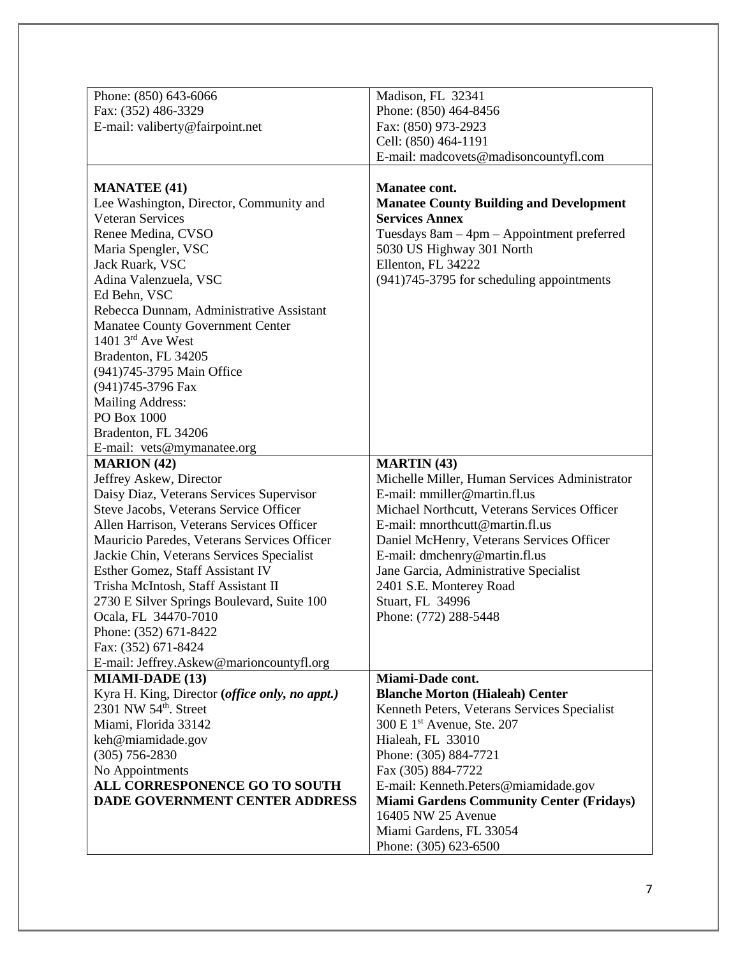|                                                | Madison, FL 32341                               |
|------------------------------------------------|-------------------------------------------------|
| Phone: (850) 643-6066                          |                                                 |
| Fax: (352) 486-3329                            | Phone: (850) 464-8456                           |
| E-mail: valiberty@fairpoint.net                | Fax: (850) 973-2923                             |
|                                                | Cell: (850) 464-1191                            |
|                                                | E-mail: madcovets@madisoncountyfl.com           |
| <b>MANATEE (41)</b>                            | Manatee cont.                                   |
| Lee Washington, Director, Community and        | <b>Manatee County Building and Development</b>  |
| <b>Veteran Services</b>                        | <b>Services Annex</b>                           |
| Renee Medina, CVSO                             | Tuesdays 8am - 4pm - Appointment preferred      |
| Maria Spengler, VSC                            | 5030 US Highway 301 North                       |
| Jack Ruark, VSC                                | Ellenton, FL 34222                              |
| Adina Valenzuela, VSC                          | (941)745-3795 for scheduling appointments       |
|                                                |                                                 |
| Ed Behn, VSC                                   |                                                 |
| Rebecca Dunnam, Administrative Assistant       |                                                 |
| Manatee County Government Center               |                                                 |
| 1401 $3rd$ Ave West                            |                                                 |
| Bradenton, FL 34205                            |                                                 |
| (941)745-3795 Main Office                      |                                                 |
| (941)745-3796 Fax                              |                                                 |
| Mailing Address:                               |                                                 |
| PO Box 1000                                    |                                                 |
| Bradenton, FL 34206                            |                                                 |
| E-mail: vets@mymanatee.org                     |                                                 |
| <b>MARION</b> (42)                             | <b>MARTIN</b> (43)                              |
| Jeffrey Askew, Director                        | Michelle Miller, Human Services Administrator   |
| Daisy Diaz, Veterans Services Supervisor       | E-mail: mmiller@martin.fl.us                    |
| Steve Jacobs, Veterans Service Officer         | Michael Northcutt, Veterans Services Officer    |
| Allen Harrison, Veterans Services Officer      | E-mail: mnorthcutt@martin.fl.us                 |
| Mauricio Paredes, Veterans Services Officer    | Daniel McHenry, Veterans Services Officer       |
| Jackie Chin, Veterans Services Specialist      | E-mail: dmchenry@martin.fl.us                   |
| Esther Gomez, Staff Assistant IV               | Jane Garcia, Administrative Specialist          |
| Trisha McIntosh, Staff Assistant II            | 2401 S.E. Monterey Road                         |
| 2730 E Silver Springs Boulevard, Suite 100     | Stuart, FL 34996                                |
| Ocala, FL 34470-7010                           | Phone: (772) 288-5448                           |
| Phone: (352) 671-8422                          |                                                 |
| Fax: (352) 671-8424                            |                                                 |
| E-mail: Jeffrey.Askew@marioncountyfl.org       |                                                 |
| <b>MIAMI-DADE (13)</b>                         | Miami-Dade cont.                                |
| Kyra H. King, Director (office only, no appt.) | <b>Blanche Morton (Hialeah) Center</b>          |
| 2301 NW 54 <sup>th</sup> . Street              | Kenneth Peters, Veterans Services Specialist    |
| Miami, Florida 33142                           | 300 E 1 <sup>st</sup> Avenue, Ste. 207          |
| keh@miamidade.gov                              | Hialeah, FL 33010                               |
| $(305)$ 756-2830                               | Phone: (305) 884-7721                           |
| No Appointments                                | Fax (305) 884-7722                              |
| ALL CORRESPONENCE GO TO SOUTH                  | E-mail: Kenneth.Peters@miamidade.gov            |
| <b>DADE GOVERNMENT CENTER ADDRESS</b>          | <b>Miami Gardens Community Center (Fridays)</b> |
|                                                | 16405 NW 25 Avenue                              |
|                                                | Miami Gardens, FL 33054                         |
|                                                | Phone: (305) 623-6500                           |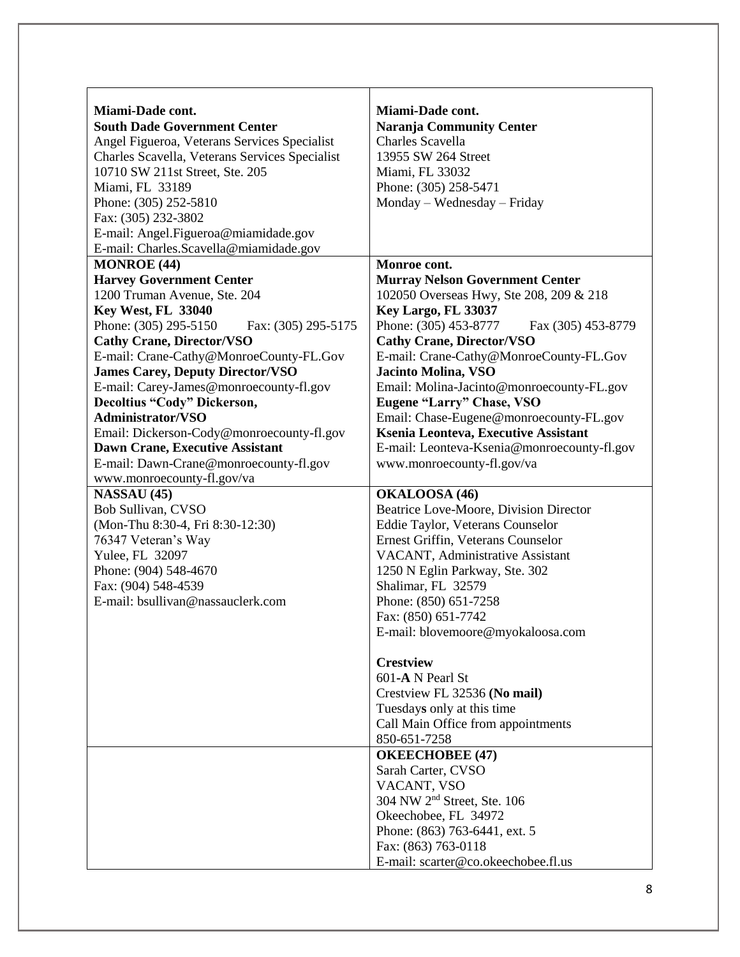| Miami-Dade cont.                               | Miami-Dade cont.                            |
|------------------------------------------------|---------------------------------------------|
| <b>South Dade Government Center</b>            | <b>Naranja Community Center</b>             |
| Angel Figueroa, Veterans Services Specialist   | Charles Scavella                            |
| Charles Scavella, Veterans Services Specialist | 13955 SW 264 Street                         |
| 10710 SW 211st Street, Ste. 205                | Miami, FL 33032                             |
| Miami, FL 33189                                | Phone: (305) 258-5471                       |
| Phone: (305) 252-5810                          | Monday – Wednesday – Friday                 |
| Fax: (305) 232-3802                            |                                             |
| E-mail: Angel.Figueroa@miamidade.gov           |                                             |
| E-mail: Charles.Scavella@miamidade.gov         |                                             |
| <b>MONROE</b> (44)                             | Monroe cont.                                |
| <b>Harvey Government Center</b>                | <b>Murray Nelson Government Center</b>      |
| 1200 Truman Avenue, Ste. 204                   | 102050 Overseas Hwy, Ste 208, 209 & 218     |
| <b>Key West, FL 33040</b>                      | Key Largo, FL 33037                         |
| Phone: (305) 295-5150<br>Fax: (305) 295-5175   | Phone: (305) 453-8777<br>Fax (305) 453-8779 |
| <b>Cathy Crane, Director/VSO</b>               | <b>Cathy Crane, Director/VSO</b>            |
| E-mail: Crane-Cathy@MonroeCounty-FL.Gov        | E-mail: Crane-Cathy@MonroeCounty-FL.Gov     |
| <b>James Carey, Deputy Director/VSO</b>        | Jacinto Molina, VSO                         |
| E-mail: Carey-James@monroecounty-fl.gov        | Email: Molina-Jacinto@monroecounty-FL.gov   |
| Decoltius "Cody" Dickerson,                    | <b>Eugene "Larry" Chase, VSO</b>            |
| <b>Administrator/VSO</b>                       | Email: Chase-Eugene@monroecounty-FL.gov     |
| Email: Dickerson-Cody@monroecounty-fl.gov      | Ksenia Leonteva, Executive Assistant        |
| Dawn Crane, Executive Assistant                | E-mail: Leonteva-Ksenia@monroecounty-fl.gov |
| E-mail: Dawn-Crane@monroecounty-fl.gov         | www.monroecounty-fl.gov/va                  |
| www.monroecounty-fl.gov/va                     |                                             |
| <b>NASSAU (45)</b>                             | OKALOOSA (46)                               |
| Bob Sullivan, CVSO                             | Beatrice Love-Moore, Division Director      |
| (Mon-Thu 8:30-4, Fri 8:30-12:30)               | Eddie Taylor, Veterans Counselor            |
| 76347 Veteran's Way                            | Ernest Griffin, Veterans Counselor          |
| Yulee, FL 32097                                | VACANT, Administrative Assistant            |
| Phone: (904) 548-4670                          | 1250 N Eglin Parkway, Ste. 302              |
| Fax: (904) 548-4539                            | Shalimar, FL 32579                          |
| E-mail: bsullivan@nassauclerk.com              | Phone: (850) 651-7258                       |
|                                                | Fax: (850) 651-7742                         |
|                                                | E-mail: blovemoore@myokaloosa.com           |
|                                                | <b>Crestview</b>                            |
|                                                | 601-A N Pearl St                            |
|                                                | Crestview FL 32536 (No mail)                |
|                                                | Tuesdays only at this time                  |
|                                                | Call Main Office from appointments          |
|                                                | 850-651-7258                                |
|                                                | <b>OKEECHOBEE (47)</b>                      |
|                                                | Sarah Carter, CVSO                          |
|                                                | VACANT, VSO                                 |
|                                                | 304 NW 2 <sup>nd</sup> Street, Ste. 106     |
|                                                | Okeechobee, FL 34972                        |
|                                                | Phone: (863) 763-6441, ext. 5               |
|                                                | Fax: (863) 763-0118                         |
|                                                | E-mail: scarter@co.okeechobee.fl.us         |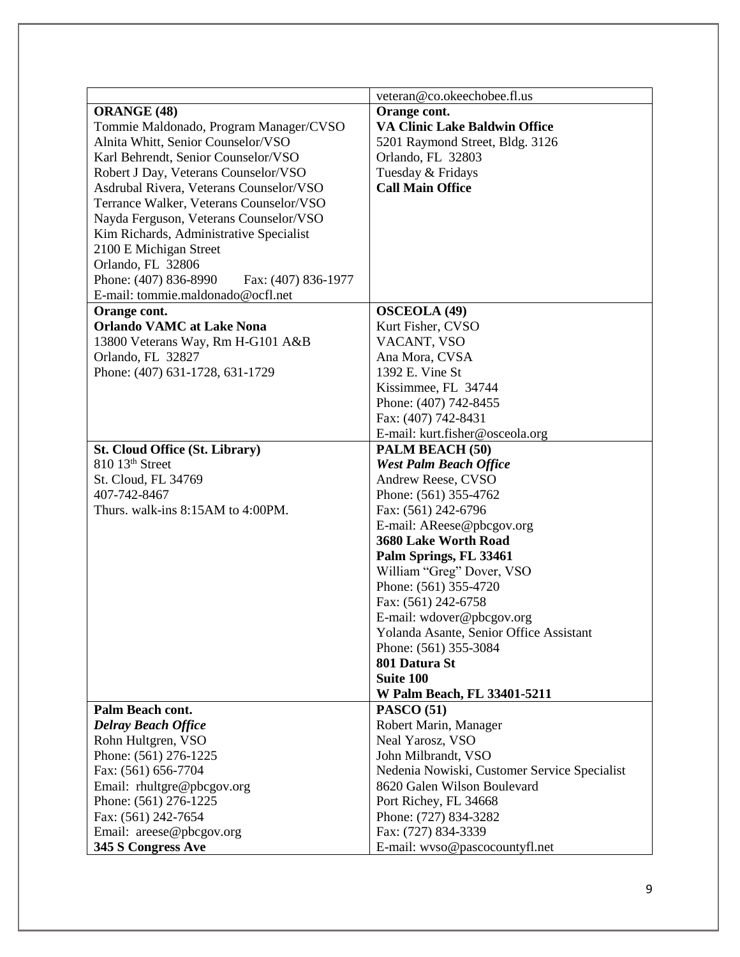|                                                                                   | veteran@co.okeechobee.fl.us                                                 |
|-----------------------------------------------------------------------------------|-----------------------------------------------------------------------------|
| <b>ORANGE (48)</b>                                                                | Orange cont.                                                                |
| Tommie Maldonado, Program Manager/CVSO                                            | <b>VA Clinic Lake Baldwin Office</b>                                        |
| Alnita Whitt, Senior Counselor/VSO                                                | 5201 Raymond Street, Bldg. 3126                                             |
| Karl Behrendt, Senior Counselor/VSO                                               | Orlando, FL 32803                                                           |
| Robert J Day, Veterans Counselor/VSO                                              | Tuesday & Fridays                                                           |
| Asdrubal Rivera, Veterans Counselor/VSO                                           | <b>Call Main Office</b>                                                     |
| Terrance Walker, Veterans Counselor/VSO                                           |                                                                             |
| Nayda Ferguson, Veterans Counselor/VSO                                            |                                                                             |
| Kim Richards, Administrative Specialist                                           |                                                                             |
| 2100 E Michigan Street                                                            |                                                                             |
| Orlando, FL 32806                                                                 |                                                                             |
|                                                                                   |                                                                             |
| Phone: (407) 836-8990<br>Fax: (407) 836-1977<br>E-mail: tommie.maldonado@ocfl.net |                                                                             |
| Orange cont.                                                                      |                                                                             |
| <b>Orlando VAMC at Lake Nona</b>                                                  | <b>OSCEOLA</b> (49)                                                         |
|                                                                                   | Kurt Fisher, CVSO                                                           |
| 13800 Veterans Way, Rm H-G101 A&B                                                 | VACANT, VSO                                                                 |
| Orlando, FL 32827                                                                 | Ana Mora, CVSA                                                              |
| Phone: (407) 631-1728, 631-1729                                                   | 1392 E. Vine St                                                             |
|                                                                                   | Kissimmee, FL 34744                                                         |
|                                                                                   | Phone: (407) 742-8455                                                       |
|                                                                                   | Fax: (407) 742-8431                                                         |
|                                                                                   | E-mail: kurt.fisher@osceola.org                                             |
| <b>St. Cloud Office (St. Library)</b>                                             | PALM BEACH (50)                                                             |
| 810 13 <sup>th</sup> Street                                                       | <b>West Palm Beach Office</b>                                               |
| St. Cloud, FL 34769                                                               | Andrew Reese, CVSO                                                          |
| 407-742-8467                                                                      | Phone: (561) 355-4762                                                       |
| Thurs. walk-ins 8:15AM to 4:00PM.                                                 | Fax: (561) 242-6796                                                         |
|                                                                                   | E-mail: AReese@pbcgov.org                                                   |
|                                                                                   | 3680 Lake Worth Road                                                        |
|                                                                                   | Palm Springs, FL 33461                                                      |
|                                                                                   | William "Greg" Dover, VSO                                                   |
|                                                                                   | Phone: (561) 355-4720                                                       |
|                                                                                   | Fax: (561) 242-6758                                                         |
|                                                                                   | E-mail: wdover@pbcgov.org                                                   |
|                                                                                   | Yolanda Asante, Senior Office Assistant                                     |
|                                                                                   | Phone: (561) 355-3084                                                       |
|                                                                                   | 801 Datura St                                                               |
|                                                                                   | Suite 100                                                                   |
|                                                                                   | W Palm Beach, FL 33401-5211                                                 |
| Palm Beach cont.                                                                  | <b>PASCO (51)</b>                                                           |
| <b>Delray Beach Office</b><br>Rohn Hultgren, VSO                                  | Robert Marin, Manager                                                       |
|                                                                                   | Neal Yarosz, VSO                                                            |
| Phone: (561) 276-1225<br>Fax: (561) 656-7704                                      | John Milbrandt, VSO                                                         |
|                                                                                   | Nedenia Nowiski, Customer Service Specialist<br>8620 Galen Wilson Boulevard |
| Email: rhultgre@pbcgov.org                                                        |                                                                             |
| Phone: (561) 276-1225                                                             | Port Richey, FL 34668                                                       |
| Fax: (561) 242-7654                                                               | Phone: (727) 834-3282                                                       |
| Email: areese@pbcgov.org                                                          | Fax: (727) 834-3339                                                         |
| 345 S Congress Ave                                                                | E-mail: wvso@pascocountyfl.net                                              |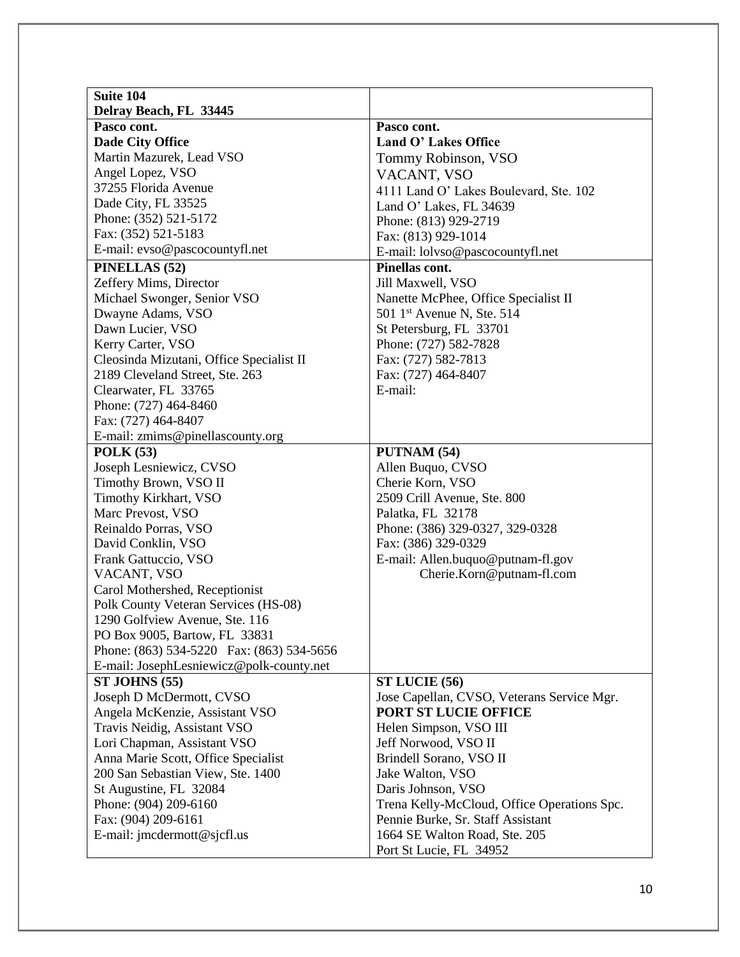| Suite 104                                                                   |                                             |
|-----------------------------------------------------------------------------|---------------------------------------------|
| Delray Beach, FL 33445                                                      |                                             |
| Pasco cont.                                                                 | Pasco cont.                                 |
| <b>Dade City Office</b>                                                     | Land O' Lakes Office                        |
| Martin Mazurek, Lead VSO                                                    | Tommy Robinson, VSO                         |
| Angel Lopez, VSO                                                            | VACANT, VSO                                 |
| 37255 Florida Avenue                                                        | 4111 Land O' Lakes Boulevard, Ste. 102      |
| Dade City, FL 33525                                                         | Land O' Lakes, FL 34639                     |
| Phone: (352) 521-5172                                                       | Phone: (813) 929-2719                       |
| Fax: (352) 521-5183                                                         | Fax: (813) 929-1014                         |
| E-mail: evso@pascocountyfl.net                                              | E-mail: lolvso@pascocountyfl.net            |
| PINELLAS (52)                                                               | Pinellas cont.                              |
| Zeffery Mims, Director                                                      | Jill Maxwell, VSO                           |
| Michael Swonger, Senior VSO                                                 | Nanette McPhee, Office Specialist II        |
| Dwayne Adams, VSO                                                           | 501 1 <sup>st</sup> Avenue N, Ste. 514      |
| Dawn Lucier, VSO                                                            | St Petersburg, FL 33701                     |
|                                                                             | Phone: (727) 582-7828                       |
| Kerry Carter, VSO                                                           | Fax: (727) 582-7813                         |
| Cleosinda Mizutani, Office Specialist II<br>2189 Cleveland Street, Ste. 263 |                                             |
|                                                                             | Fax: (727) 464-8407<br>E-mail:              |
| Clearwater, FL 33765<br>Phone: (727) 464-8460                               |                                             |
| Fax: (727) 464-8407                                                         |                                             |
|                                                                             |                                             |
| E-mail: zmims@pinellascounty.org                                            |                                             |
| POLK(53)                                                                    | PUTNAM (54)                                 |
| Joseph Lesniewicz, CVSO                                                     | Allen Buquo, CVSO                           |
| Timothy Brown, VSO II                                                       | Cherie Korn, VSO                            |
| Timothy Kirkhart, VSO                                                       | 2509 Crill Avenue, Ste. 800                 |
| Marc Prevost, VSO                                                           | Palatka, FL 32178                           |
| Reinaldo Porras, VSO                                                        | Phone: (386) 329-0327, 329-0328             |
| David Conklin, VSO                                                          | Fax: (386) 329-0329                         |
| Frank Gattuccio, VSO                                                        | E-mail: Allen.buquo@putnam-fl.gov           |
| VACANT, VSO                                                                 | Cherie.Korn@putnam-fl.com                   |
| Carol Mothershed, Receptionist                                              |                                             |
| Polk County Veteran Services (HS-08)                                        |                                             |
| 1290 Golfview Avenue, Ste. 116                                              |                                             |
| PO Box 9005, Bartow, FL 33831                                               |                                             |
| Phone: (863) 534-5220 Fax: (863) 534-5656                                   |                                             |
| E-mail: JosephLesniewicz@polk-county.net                                    |                                             |
| ST JOHNS (55)                                                               | ST LUCIE (56)                               |
| Joseph D McDermott, CVSO                                                    | Jose Capellan, CVSO, Veterans Service Mgr.  |
| Angela McKenzie, Assistant VSO                                              | PORT ST LUCIE OFFICE                        |
| Travis Neidig, Assistant VSO                                                | Helen Simpson, VSO III                      |
| Lori Chapman, Assistant VSO                                                 | Jeff Norwood, VSO II                        |
| Anna Marie Scott, Office Specialist                                         | Brindell Sorano, VSO II                     |
| 200 San Sebastian View, Ste. 1400                                           | Jake Walton, VSO                            |
| St Augustine, FL 32084                                                      | Daris Johnson, VSO                          |
| Phone: (904) 209-6160                                                       | Trena Kelly-McCloud, Office Operations Spc. |
| Fax: (904) 209-6161                                                         | Pennie Burke, Sr. Staff Assistant           |
| E-mail: jmcdermott@sjcfl.us                                                 | 1664 SE Walton Road, Ste. 205               |
|                                                                             | Port St Lucie, FL 34952                     |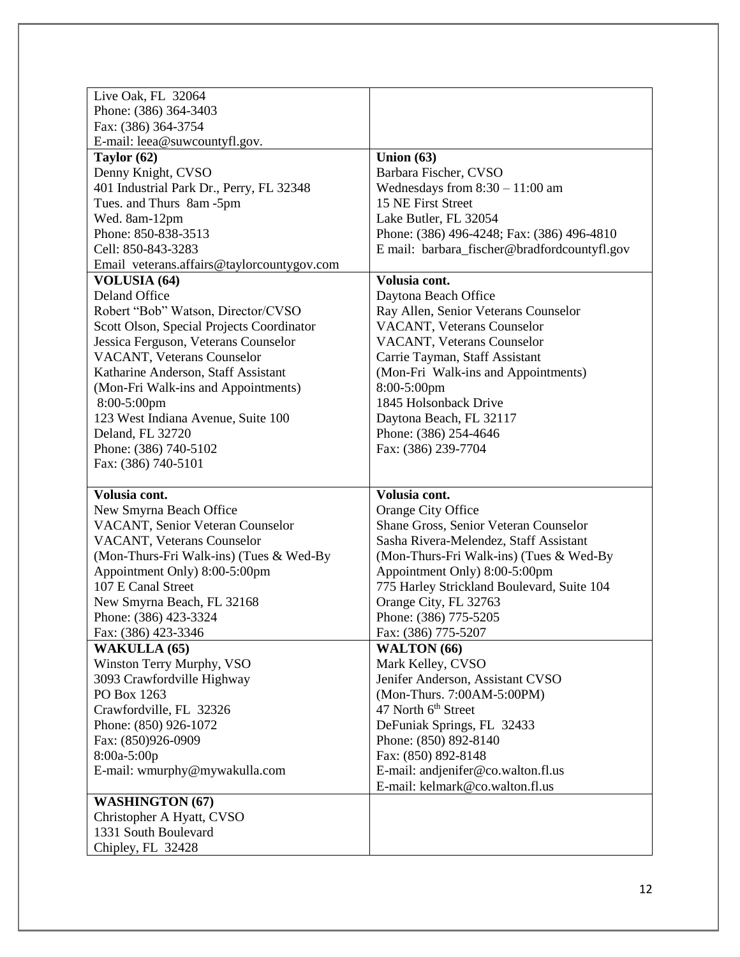| Live Oak, FL 32064                         |                                              |
|--------------------------------------------|----------------------------------------------|
| Phone: (386) 364-3403                      |                                              |
| Fax: (386) 364-3754                        |                                              |
| E-mail: leea@suwcountyfl.gov.              |                                              |
| Taylor (62)                                | Union $(63)$                                 |
| Denny Knight, CVSO                         | Barbara Fischer, CVSO                        |
| 401 Industrial Park Dr., Perry, FL 32348   | Wednesdays from $8:30 - 11:00$ am            |
| Tues. and Thurs 8am -5pm                   | 15 NE First Street                           |
| Wed. 8am-12pm                              | Lake Butler, FL 32054                        |
| Phone: 850-838-3513                        | Phone: (386) 496-4248; Fax: (386) 496-4810   |
| Cell: 850-843-3283                         | E mail: barbara_fischer@bradfordcountyfl.gov |
| Email veterans.affairs@taylorcountygov.com |                                              |
| <b>VOLUSIA (64)</b>                        | Volusia cont.                                |
| Deland Office                              | Daytona Beach Office                         |
| Robert "Bob" Watson, Director/CVSO         | Ray Allen, Senior Veterans Counselor         |
| Scott Olson, Special Projects Coordinator  | <b>VACANT</b> , Veterans Counselor           |
| Jessica Ferguson, Veterans Counselor       | <b>VACANT, Veterans Counselor</b>            |
| VACANT, Veterans Counselor                 | Carrie Tayman, Staff Assistant               |
| Katharine Anderson, Staff Assistant        | (Mon-Fri Walk-ins and Appointments)          |
| (Mon-Fri Walk-ins and Appointments)        | 8:00-5:00pm                                  |
| $8:00-5:00$ pm                             | 1845 Holsonback Drive                        |
| 123 West Indiana Avenue, Suite 100         | Daytona Beach, FL 32117                      |
| Deland, FL 32720                           | Phone: (386) 254-4646                        |
| Phone: (386) 740-5102                      | Fax: (386) 239-7704                          |
| Fax: (386) 740-5101                        |                                              |
|                                            |                                              |
| Volusia cont.                              | Volusia cont.                                |
| New Smyrna Beach Office                    | Orange City Office                           |
| VACANT, Senior Veteran Counselor           | Shane Gross, Senior Veteran Counselor        |
| VACANT, Veterans Counselor                 | Sasha Rivera-Melendez, Staff Assistant       |
| (Mon-Thurs-Fri Walk-ins) (Tues & Wed-By    | (Mon-Thurs-Fri Walk-ins) (Tues & Wed-By      |
| Appointment Only) 8:00-5:00pm              | Appointment Only) 8:00-5:00pm                |
| 107 E Canal Street                         | 775 Harley Strickland Boulevard, Suite 104   |
| New Smyrna Beach, FL 32168                 | Orange City, FL 32763                        |
| Phone: (386) 423-3324                      | Phone: (386) 775-5205                        |
|                                            |                                              |
|                                            |                                              |
| Fax: (386) 423-3346                        | Fax: (386) 775-5207                          |
| <b>WAKULLA (65)</b>                        | WALTON (66)                                  |
| Winston Terry Murphy, VSO                  | Mark Kelley, CVSO                            |
| 3093 Crawfordville Highway                 | Jenifer Anderson, Assistant CVSO             |
| PO Box 1263                                | (Mon-Thurs. 7:00AM-5:00PM)                   |
| Crawfordville, FL 32326                    | 47 North 6 <sup>th</sup> Street              |
| Phone: (850) 926-1072                      | DeFuniak Springs, FL 32433                   |
| Fax: (850)926-0909                         | Phone: (850) 892-8140                        |
| 8:00a-5:00p                                | Fax: (850) 892-8148                          |
| E-mail: wmurphy@mywakulla.com              | E-mail: andjenifer@co.walton.fl.us           |
|                                            | E-mail: kelmark@co.walton.fl.us              |
| <b>WASHINGTON (67)</b>                     |                                              |
| Christopher A Hyatt, CVSO                  |                                              |
| 1331 South Boulevard<br>Chipley, FL 32428  |                                              |